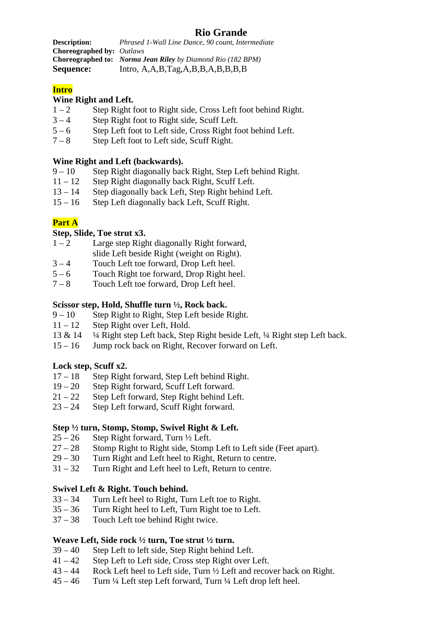# **Rio Grande**

**Description:** *Phrased 1-Wall Line Dance, 90 count, Intermediate*  **Choreographed by:** *Outlaws*  **Choreographed to:** *Norma Jean Riley by Diamond Rio (182 BPM)*  Sequence: Intro, A,A,B,Tag,A,B,B,A,B,B,B,B,B

# **Intro**

### **Wine Right and Left.**

- $1 2$  Step Right foot to Right side, Cross Left foot behind Right.
- $3 4$  Step Right foot to Right side, Scuff Left.
- 5 6 Step Left foot to Left side, Cross Right foot behind Left.
- 7 8 Step Left foot to Left side, Scuff Right.

### **Wine Right and Left (backwards).**

- 9 10 Step Right diagonally back Right, Step Left behind Right.
- 11 12 Step Right diagonally back Right, Scuff Left.
- 13 14 Step diagonally back Left, Step Right behind Left.
- 15 16 Step Left diagonally back Left, Scuff Right.

## **Part A**

### **Step, Slide, Toe strut x3.**

- $1 2$  Large step Right diagonally Right forward, slide Left beside Right (weight on Right).
- 3 4 Touch Left toe forward, Drop Left heel.
- $5 6$  Touch Right toe forward, Drop Right heel.
- 7 8 Touch Left toe forward, Drop Left heel.

#### **Scissor step, Hold, Shuffle turn ½, Rock back.**

- $9 10$  Step Right to Right, Step Left beside Right.<br>11 12 Step Right over Left. Hold.
- Step Right over Left, Hold.
- 13 & 14 ¼ Right step Left back, Step Right beside Left, ¼ Right step Left back.
- 15 16 Jump rock back on Right, Recover forward on Left.

### **Lock step, Scuff x2.**

- 17 18 Step Right forward, Step Left behind Right.
- 19 20 Step Right forward, Scuff Left forward.
- $21 22$  Step Left forward, Step Right behind Left.
- 23 24 Step Left forward, Scuff Right forward.

#### **Step ½ turn, Stomp, Stomp, Swivel Right & Left.**

- $25 26$  Step Right forward, Turn  $\frac{1}{2}$  Left.
- 27 28 Stomp Right to Right side, Stomp Left to Left side (Feet apart).
- 29 30 Turn Right and Left heel to Right, Return to centre.
- 31 32 Turn Right and Left heel to Left, Return to centre.

### **Swivel Left & Right. Touch behind.**

- 33 34 Turn Left heel to Right, Turn Left toe to Right.
- 35 36 Turn Right heel to Left, Turn Right toe to Left.
- 37 38 Touch Left toe behind Right twice.

### **Weave Left, Side rock ½ turn, Toe strut ½ turn.**

- 39 40 Step Left to left side, Step Right behind Left.
- 41 42 Step Left to Left side, Cross step Right over Left.
- 43 44 Rock Left heel to Left side, Turn ½ Left and recover back on Right.
- $45 46$  Turn ¼ Left step Left forward, Turn ¼ Left drop left heel.